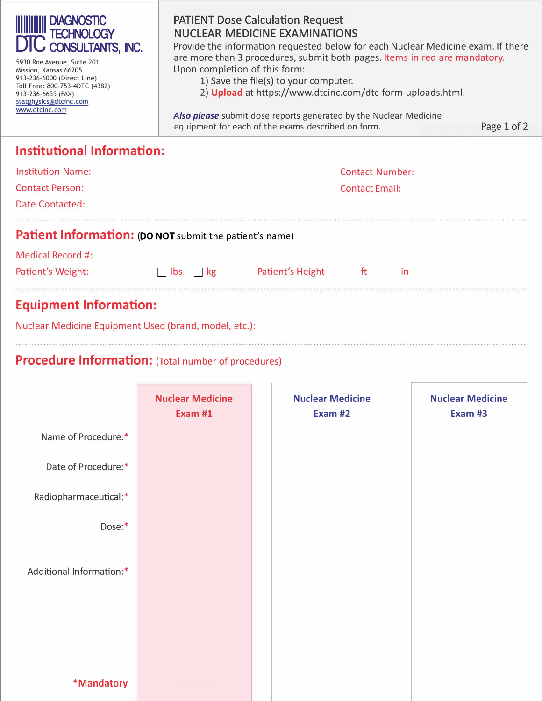| <b>DIAGNOSTIC</b><br><b>CONSULTANTS, INC.</b><br>5930 Roe Avenue, Suite 201<br>Mission, Kansas 66205<br>913-236-6000 (Direct Line)<br>Toll Free: 800-753-4DTC (4382)<br>913-236-6655 (FAX)<br>statphysics@dtcinc.com<br>www.dtcinc.com | <b>PATIENT Dose Calculation Request</b><br><b>NUCLEAR MEDICINE EXAMINATIONS</b><br>Provide the information requested below for each Nuclear Medicine exam. If there<br>are more than 3 procedures, submit both pages. Items in red are mandatory.<br>Upon completion of this form:<br>1) Save the file(s) to your computer.<br>2) Upload at https://www.dtcinc.com/dtc-form-uploads.html.<br><b>Also please</b> submit dose reports generated by the Nuclear Medicine<br>Page 1 of 2<br>equipment for each of the exams described on form. |  |  |  |  |  |
|----------------------------------------------------------------------------------------------------------------------------------------------------------------------------------------------------------------------------------------|--------------------------------------------------------------------------------------------------------------------------------------------------------------------------------------------------------------------------------------------------------------------------------------------------------------------------------------------------------------------------------------------------------------------------------------------------------------------------------------------------------------------------------------------|--|--|--|--|--|
| <b>Institutional Information:</b>                                                                                                                                                                                                      |                                                                                                                                                                                                                                                                                                                                                                                                                                                                                                                                            |  |  |  |  |  |
| <b>Institution Name:</b>                                                                                                                                                                                                               | <b>Contact Number:</b>                                                                                                                                                                                                                                                                                                                                                                                                                                                                                                                     |  |  |  |  |  |
| <b>Contact Person:</b>                                                                                                                                                                                                                 | <b>Contact Email:</b>                                                                                                                                                                                                                                                                                                                                                                                                                                                                                                                      |  |  |  |  |  |
| Date Contacted:                                                                                                                                                                                                                        |                                                                                                                                                                                                                                                                                                                                                                                                                                                                                                                                            |  |  |  |  |  |
| Patient Information: (DO NOT submit the patient's name)                                                                                                                                                                                |                                                                                                                                                                                                                                                                                                                                                                                                                                                                                                                                            |  |  |  |  |  |
| <b>Medical Record #:</b>                                                                                                                                                                                                               |                                                                                                                                                                                                                                                                                                                                                                                                                                                                                                                                            |  |  |  |  |  |
| Patient's Weight:                                                                                                                                                                                                                      | ft<br>Patient's Height<br>in<br>kg<br><b>lbs</b>                                                                                                                                                                                                                                                                                                                                                                                                                                                                                           |  |  |  |  |  |
| <b>Equipment Information:</b>                                                                                                                                                                                                          |                                                                                                                                                                                                                                                                                                                                                                                                                                                                                                                                            |  |  |  |  |  |
| Nuclear Medicine Equipment Used (brand, model, etc.):                                                                                                                                                                                  |                                                                                                                                                                                                                                                                                                                                                                                                                                                                                                                                            |  |  |  |  |  |

## **Procedure Information:** (Total number of procedures)

|                          | <b>Nuclear Medicine</b><br>Exam #1 | <b>Nuclear Medicine</b><br>Exam #2 | <b>Nuclear Medicine</b><br>Exam #3 |
|--------------------------|------------------------------------|------------------------------------|------------------------------------|
| Name of Procedure:*      |                                    |                                    |                                    |
| Date of Procedure:*      |                                    |                                    |                                    |
| Radiopharmaceutical:*    |                                    |                                    |                                    |
| Dose:*                   |                                    |                                    |                                    |
| Additional Information:* |                                    |                                    |                                    |
| *Mandatory               |                                    |                                    |                                    |